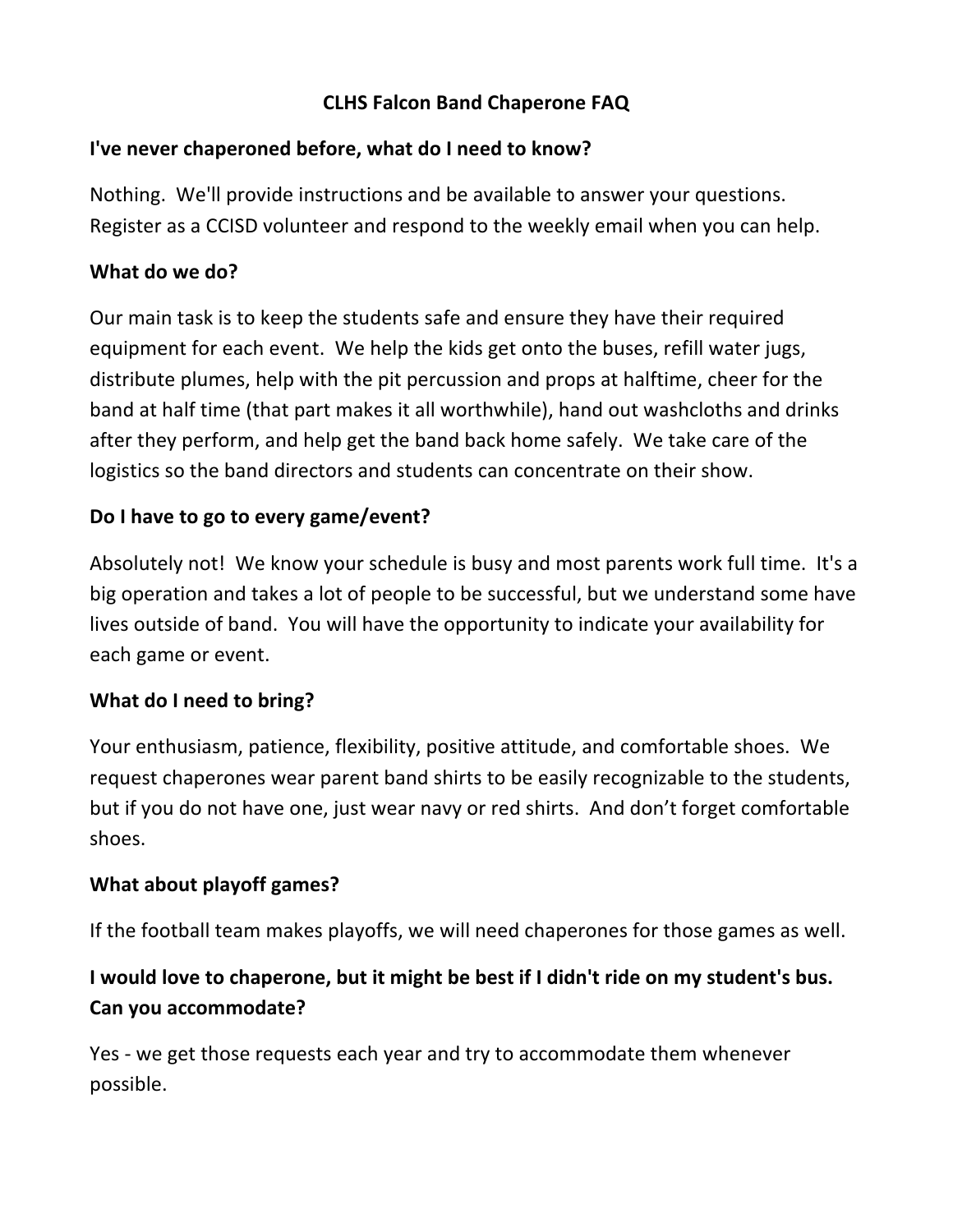# **CLHS Falcon Band Chaperone FAQ**

### **I've never chaperoned before, what do I need to know?**

Nothing. We'll provide instructions and be available to answer your questions. Register as a CCISD volunteer and respond to the weekly email when you can help.

### **What do we do?**

Our main task is to keep the students safe and ensure they have their required equipment for each event. We help the kids get onto the buses, refill water jugs, distribute plumes, help with the pit percussion and props at halftime, cheer for the band at half time (that part makes it all worthwhile), hand out washcloths and drinks after they perform, and help get the band back home safely. We take care of the logistics so the band directors and students can concentrate on their show.

### Do I have to go to every game/event?

Absolutely not! We know your schedule is busy and most parents work full time. It's a big operation and takes a lot of people to be successful, but we understand some have lives outside of band. You will have the opportunity to indicate your availability for each game or event.

### **What do I need to bring?**

Your enthusiasm, patience, flexibility, positive attitude, and comfortable shoes. We request chaperones wear parent band shirts to be easily recognizable to the students, but if you do not have one, just wear navy or red shirts. And don't forget comfortable shoes.

### **What about playoff games?**

If the football team makes playoffs, we will need chaperones for those games as well.

# I would love to chaperone, but it might be best if I didn't ride on my student's bus. **Can you accommodate?**

Yes - we get those requests each year and try to accommodate them whenever possible.